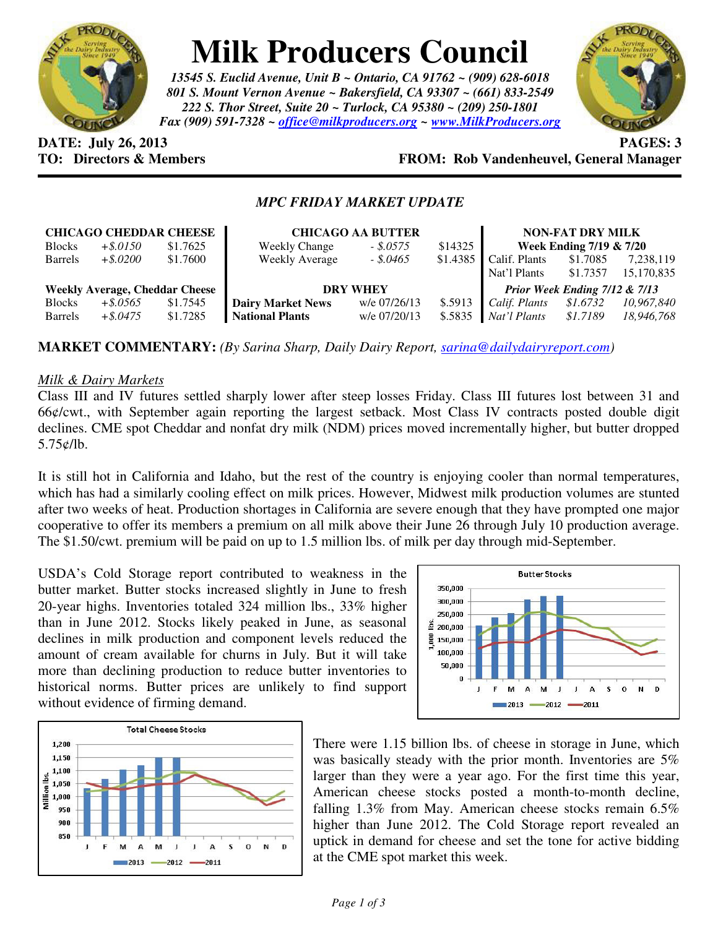

# **Milk Producers Council**

*13545 S. Euclid Avenue, Unit B ~ Ontario, CA 91762 ~ (909) 628-6018 801 S. Mount Vernon Avenue ~ Bakersfield, CA 93307 ~ (661) 833-2549 222 S. Thor Street, Suite 20 ~ Turlock, CA 95380 ~ (209) 250-1801 Fax (909) 591-7328 ~ office@milkproducers.org ~ www.MilkProducers.org*



**DATE: July 26, 2013 PAGES: 3** 

## **TO: Directors & Members FROM: Rob Vandenheuvel, General Manager**

### *MPC FRIDAY MARKET UPDATE*

| <b>CHICAGO CHEDDAR CHEESE</b>         |             |          | <b>CHICAGO AA BUTTER</b> |              |          | <b>NON-FAT DRY MILK</b>       |          |            |
|---------------------------------------|-------------|----------|--------------------------|--------------|----------|-------------------------------|----------|------------|
| <b>Blocks</b>                         | $+$ \$.0150 | \$1.7625 | <b>Weekly Change</b>     | $-.8.0575$   | \$14325  | Week Ending 7/19 & 7/20       |          |            |
| <b>Barrels</b>                        | $+$ \$.0200 | \$1.7600 | <b>Weekly Average</b>    | $-.5.0465$   | \$1.4385 | Calif. Plants                 | \$1.7085 | 7,238,119  |
|                                       |             |          |                          |              |          | Nat'l Plants                  | \$1.7357 | 15,170,835 |
| <b>Weekly Average, Cheddar Cheese</b> |             |          | <b>DRY WHEY</b>          |              |          | Prior Week Ending 7/12 & 7/13 |          |            |
| <b>Blocks</b>                         | $+$ \$.0565 | \$1.7545 | <b>Dairy Market News</b> | w/e 07/26/13 | \$.5913  | Calif. Plants                 | \$1.6732 | 10.967.840 |
| <b>Barrels</b>                        | $+$ \$.0475 | \$1.7285 | <b>National Plants</b>   | w/e 07/20/13 | \$.5835  | Nat'l Plants                  | \$1.7189 | 18,946,768 |

**MARKET COMMENTARY:** *(By Sarina Sharp, Daily Dairy Report, sarina@dailydairyreport.com)* 

#### *Milk & Dairy Markets*

Class III and IV futures settled sharply lower after steep losses Friday. Class III futures lost between 31 and 66¢/cwt., with September again reporting the largest setback. Most Class IV contracts posted double digit declines. CME spot Cheddar and nonfat dry milk (NDM) prices moved incrementally higher, but butter dropped 5.75¢/lb.

It is still hot in California and Idaho, but the rest of the country is enjoying cooler than normal temperatures, which has had a similarly cooling effect on milk prices. However, Midwest milk production volumes are stunted after two weeks of heat. Production shortages in California are severe enough that they have prompted one major cooperative to offer its members a premium on all milk above their June 26 through July 10 production average. The \$1.50/cwt. premium will be paid on up to 1.5 million lbs. of milk per day through mid-September.

USDA's Cold Storage report contributed to weakness in the butter market. Butter stocks increased slightly in June to fresh 20-year highs. Inventories totaled 324 million lbs., 33% higher than in June 2012. Stocks likely peaked in June, as seasonal declines in milk production and component levels reduced the amount of cream available for churns in July. But it will take more than declining production to reduce butter inventories to historical norms. Butter prices are unlikely to find support without evidence of firming demand.





There were 1.15 billion lbs. of cheese in storage in June, which was basically steady with the prior month. Inventories are 5% larger than they were a year ago. For the first time this year, American cheese stocks posted a month-to-month decline, falling 1.3% from May. American cheese stocks remain 6.5% higher than June 2012. The Cold Storage report revealed an uptick in demand for cheese and set the tone for active bidding at the CME spot market this week.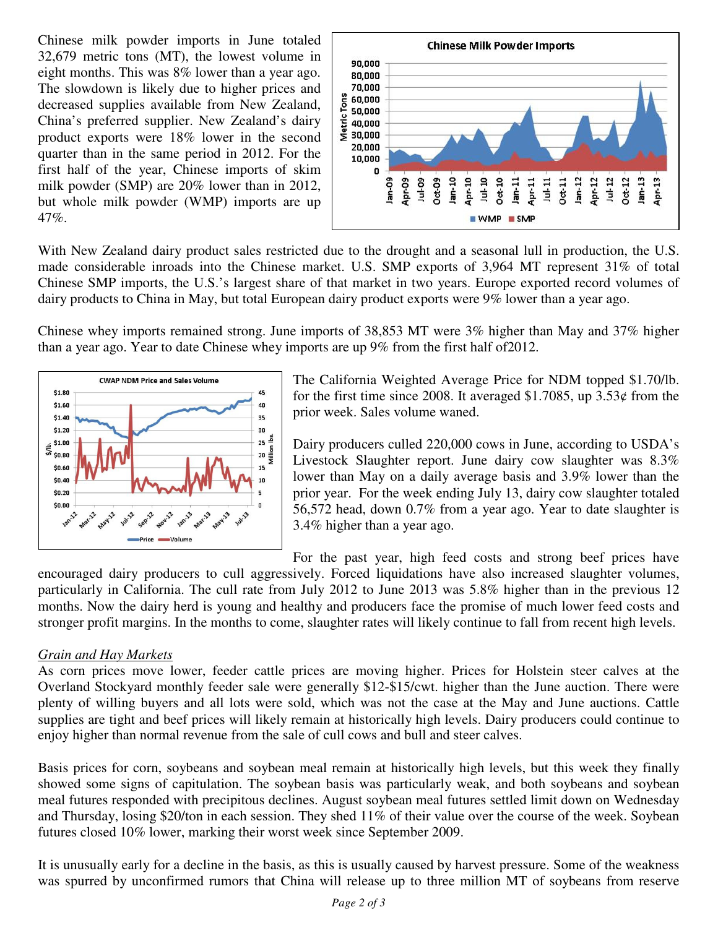Chinese milk powder imports in June totaled 32,679 metric tons (MT), the lowest volume in eight months. This was 8% lower than a year ago. The slowdown is likely due to higher prices and decreased supplies available from New Zealand, China's preferred supplier. New Zealand's dairy product exports were 18% lower in the second quarter than in the same period in 2012. For the first half of the year, Chinese imports of skim milk powder (SMP) are 20% lower than in 2012, but whole milk powder (WMP) imports are up 47%.



With New Zealand dairy product sales restricted due to the drought and a seasonal lull in production, the U.S. made considerable inroads into the Chinese market. U.S. SMP exports of 3,964 MT represent 31% of total Chinese SMP imports, the U.S.'s largest share of that market in two years. Europe exported record volumes of dairy products to China in May, but total European dairy product exports were 9% lower than a year ago.

Chinese whey imports remained strong. June imports of 38,853 MT were 3% higher than May and 37% higher than a year ago. Year to date Chinese whey imports are up 9% from the first half of2012.



The California Weighted Average Price for NDM topped \$1.70/lb. for the first time since 2008. It averaged \$1.7085, up  $3.53\phi$  from the prior week. Sales volume waned.

Dairy producers culled 220,000 cows in June, according to USDA's Livestock Slaughter report. June dairy cow slaughter was 8.3% lower than May on a daily average basis and 3.9% lower than the prior year. For the week ending July 13, dairy cow slaughter totaled 56,572 head, down 0.7% from a year ago. Year to date slaughter is 3.4% higher than a year ago.

For the past year, high feed costs and strong beef prices have

encouraged dairy producers to cull aggressively. Forced liquidations have also increased slaughter volumes, particularly in California. The cull rate from July 2012 to June 2013 was 5.8% higher than in the previous 12 months. Now the dairy herd is young and healthy and producers face the promise of much lower feed costs and stronger profit margins. In the months to come, slaughter rates will likely continue to fall from recent high levels.

#### *Grain and Hay Markets*

As corn prices move lower, feeder cattle prices are moving higher. Prices for Holstein steer calves at the Overland Stockyard monthly feeder sale were generally \$12-\$15/cwt. higher than the June auction. There were plenty of willing buyers and all lots were sold, which was not the case at the May and June auctions. Cattle supplies are tight and beef prices will likely remain at historically high levels. Dairy producers could continue to enjoy higher than normal revenue from the sale of cull cows and bull and steer calves.

Basis prices for corn, soybeans and soybean meal remain at historically high levels, but this week they finally showed some signs of capitulation. The soybean basis was particularly weak, and both soybeans and soybean meal futures responded with precipitous declines. August soybean meal futures settled limit down on Wednesday and Thursday, losing \$20/ton in each session. They shed 11% of their value over the course of the week. Soybean futures closed 10% lower, marking their worst week since September 2009.

It is unusually early for a decline in the basis, as this is usually caused by harvest pressure. Some of the weakness was spurred by unconfirmed rumors that China will release up to three million MT of soybeans from reserve